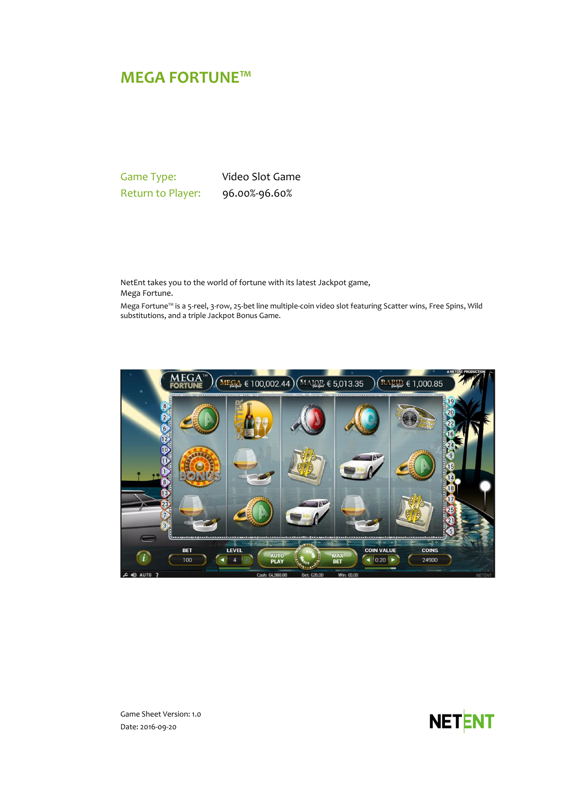# **MEGA FORTUNE™**

Game Type: Video Slot Game Return to Player: 96.00%-96.60%

NetEnt takes you to the world of fortune with its latest Jackpot game, Mega Fortune.

Mega Fortune™ is a 5-reel, 3-row, 25-bet line multiple-coin video slot featuring Scatter wins, Free Spins, Wild substitutions, and a triple Jackpot Bonus Game.





Game Sheet Version: 1.0 Date: 2016-09-20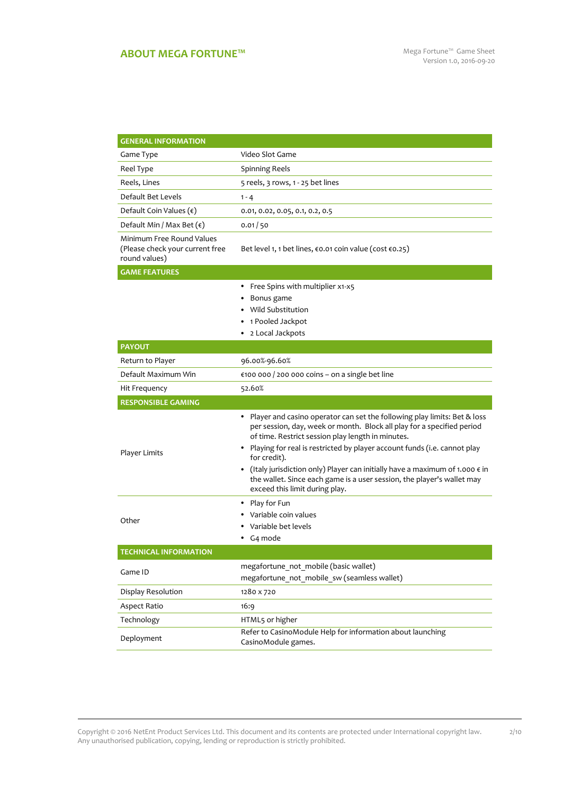## **ABOUT MEGA FORTUNE™** Mega Fortune™ Game Sheet

2/10

| <b>GENERAL INFORMATION</b>                                                    |                                                                                                                                                                                                                                                                                                                                                                                                                                                                                                                     |  |  |  |  |
|-------------------------------------------------------------------------------|---------------------------------------------------------------------------------------------------------------------------------------------------------------------------------------------------------------------------------------------------------------------------------------------------------------------------------------------------------------------------------------------------------------------------------------------------------------------------------------------------------------------|--|--|--|--|
| Game Type                                                                     | Video Slot Game                                                                                                                                                                                                                                                                                                                                                                                                                                                                                                     |  |  |  |  |
| Reel Type                                                                     | Spinning Reels                                                                                                                                                                                                                                                                                                                                                                                                                                                                                                      |  |  |  |  |
| Reels, Lines                                                                  | 5 reels, 3 rows, 1 - 25 bet lines                                                                                                                                                                                                                                                                                                                                                                                                                                                                                   |  |  |  |  |
| Default Bet Levels                                                            | $1 - 4$                                                                                                                                                                                                                                                                                                                                                                                                                                                                                                             |  |  |  |  |
| Default Coin Values $(\epsilon)$                                              | 0.01, 0.02, 0.05, 0.1, 0.2, 0.5                                                                                                                                                                                                                                                                                                                                                                                                                                                                                     |  |  |  |  |
| Default Min / Max Bet $(\epsilon)$                                            | 0.01/50                                                                                                                                                                                                                                                                                                                                                                                                                                                                                                             |  |  |  |  |
| Minimum Free Round Values<br>(Please check your current free<br>round values) | Bet level 1, 1 bet lines, $\epsilon$ 0.01 coin value (cost $\epsilon$ 0.25)                                                                                                                                                                                                                                                                                                                                                                                                                                         |  |  |  |  |
| <b>GAME FEATURES</b>                                                          |                                                                                                                                                                                                                                                                                                                                                                                                                                                                                                                     |  |  |  |  |
|                                                                               | Free Spins with multiplier x1-x5<br>Bonus game<br>Wild Substitution<br>1 Pooled Jackpot<br>2 Local Jackpots                                                                                                                                                                                                                                                                                                                                                                                                         |  |  |  |  |
| <b>PAYOUT</b>                                                                 |                                                                                                                                                                                                                                                                                                                                                                                                                                                                                                                     |  |  |  |  |
| Return to Player                                                              | 96.00%-96.60%                                                                                                                                                                                                                                                                                                                                                                                                                                                                                                       |  |  |  |  |
| Default Maximum Win                                                           | €100 000 / 200 000 coins - on a single bet line                                                                                                                                                                                                                                                                                                                                                                                                                                                                     |  |  |  |  |
| Hit Frequency                                                                 | 52.60%                                                                                                                                                                                                                                                                                                                                                                                                                                                                                                              |  |  |  |  |
| <b>RESPONSIBLE GAMING</b>                                                     |                                                                                                                                                                                                                                                                                                                                                                                                                                                                                                                     |  |  |  |  |
| Player Limits                                                                 | • Player and casino operator can set the following play limits: Bet & loss<br>per session, day, week or month. Block all play for a specified period<br>of time. Restrict session play length in minutes.<br>Playing for real is restricted by player account funds (i.e. cannot play<br>٠<br>for credit).<br>(Italy jurisdiction only) Player can initially have a maximum of 1.000 $\epsilon$ in<br>٠<br>the wallet. Since each game is a user session, the player's wallet may<br>exceed this limit during play. |  |  |  |  |
| Other                                                                         | Play for Fun<br>٠<br>Variable coin values<br>Variable bet levels<br>G <sub>4</sub> mode<br>٠                                                                                                                                                                                                                                                                                                                                                                                                                        |  |  |  |  |
| <b>TECHNICAL INFORMATION</b>                                                  |                                                                                                                                                                                                                                                                                                                                                                                                                                                                                                                     |  |  |  |  |
| Game ID                                                                       | megafortune not mobile (basic wallet)<br>megafortune not mobile sw (seamless wallet)                                                                                                                                                                                                                                                                                                                                                                                                                                |  |  |  |  |
| Display Resolution                                                            | 1280 x 720                                                                                                                                                                                                                                                                                                                                                                                                                                                                                                          |  |  |  |  |
| Aspect Ratio                                                                  | 16:9                                                                                                                                                                                                                                                                                                                                                                                                                                                                                                                |  |  |  |  |
| Technology                                                                    | HTML5 or higher                                                                                                                                                                                                                                                                                                                                                                                                                                                                                                     |  |  |  |  |
|                                                                               | Refer to CasinoModule Help for information about launching                                                                                                                                                                                                                                                                                                                                                                                                                                                          |  |  |  |  |

Copyright © 2016 NetEnt Product Services Ltd. This document and its contents are protected under International copyright law. Any unauthorised publication, copying, lending or reproduction is strictly prohibited.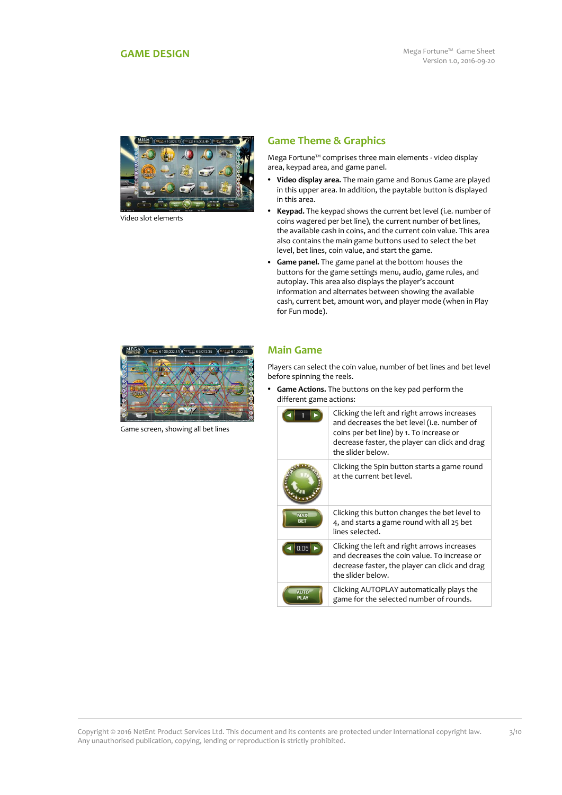<span id="page-2-0"></span>

Video slot elements

## **Game Theme & Graphics**

Mega Fortune™ comprises three main elements - video display area, keypad area, and game panel.

- **Video display area.** The main game and Bonus Game are played in this upper area. In addition, the paytable button is displayed in this area.
- **Keypad.** The keypad shows the current bet level (i.e. number of coins wagered per bet line), the current number of bet lines, the available cash in coins, and the current coin value. This area also contains the main game buttons used to select the bet level, bet lines, coin value, and start the game.
- **Game panel.** The game panel at the bottom houses the buttons for the game settings menu, audio, game rules, and autoplay. This area also displays the player's account information and alternates between showing the available cash, current bet, amount won, and player mode (when in Play for Fun mode).



Game screen, showing all bet lines

### **Main Game**

Players can select the coin value, number of bet lines and bet level before spinning the reels.

 **Game Actions.** The buttons on the key pad perform the different game actions:

|                          | Clicking the left and right arrows increases<br>and decreases the bet level (i.e. number of<br>coins per bet line) by 1. To increase or<br>decrease faster, the player can click and drag<br>the slider below. |
|--------------------------|----------------------------------------------------------------------------------------------------------------------------------------------------------------------------------------------------------------|
|                          | Clicking the Spin button starts a game round<br>at the current bet level.                                                                                                                                      |
| <b>MAX</b><br><b>BET</b> | Clicking this button changes the bet level to<br>4, and starts a game round with all 25 bet<br>lines selected.                                                                                                 |
| 0.05                     | Clicking the left and right arrows increases<br>and decreases the coin value. To increase or<br>decrease faster, the player can click and drag<br>the slider below.                                            |
| <b>AUTO</b>              | Clicking AUTOPLAY automatically plays the<br>game for the selected number of rounds.                                                                                                                           |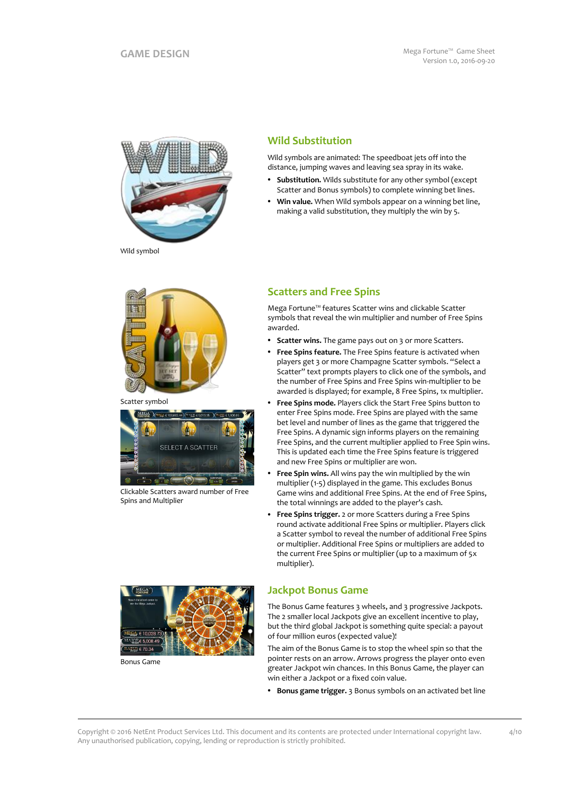

**Wild Substitution**

Wild symbols are animated: The speedboat jets off into the distance, jumping waves and leaving sea spray in its wake.

- **Substitution.** Wilds substitute for any other symbol (except Scatter and Bonus symbols) to complete winning bet lines.
- **Win value.** When Wild symbols appear on a winning bet line, making a valid substitution, they multiply the win by 5.

Wild symbol



Scatter symbol



Clickable Scatters award number of Free Spins and Multiplier

## **Scatters and Free Spins**

Mega Fortune™ features Scatter wins and clickable Scatter symbols that reveal the win multiplier and number of Free Spins awarded.

- **Scatter wins.** The game pays out on 3 or more Scatters.
- **Free Spins feature.** The Free Spins feature is activated when players get 3 or more Champagne Scatter symbols. "Select a Scatter" text prompts players to click one of the symbols, and the number of Free Spins and Free Spins win-multiplier to be awarded is displayed; for example, 8 Free Spins, 1x multiplier.
- **Free Spins mode.** Players click the Start Free Spins button to enter Free Spins mode. Free Spins are played with the same bet level and number of lines as the game that triggered the Free Spins. A dynamic sign informs players on the remaining Free Spins, and the current multiplier applied to Free Spin wins. This is updated each time the Free Spins feature is triggered and new Free Spins or multiplier are won.
- **Free Spin wins.** All wins pay the win multiplied by the win multiplier (1-5) displayed in the game. This excludes Bonus Game wins and additional Free Spins. At the end of Free Spins, the total winnings are added to the player's cash.
- **Free Spins trigger.** 2 or more Scatters during a Free Spins round activate additional Free Spins or multiplier. Players click a Scatter symbol to reveal the number of additional Free Spins or multiplier. Additional Free Spins or multipliers are added to the current Free Spins or multiplier (up to a maximum of 5x multiplier).



The Bonus Game features 3 wheels, and 3 progressive Jackpots. The 2 smaller local Jackpots give an excellent incentive to play, but the third global Jackpot is something quite special: a payout of four million euros (expected value)!

The aim of the Bonus Game is to stop the wheel spin so that the pointer rests on an arrow. Arrows progress the player onto even greater Jackpot win chances. In this Bonus Game, the player can win either a Jackpot or a fixed coin value.

**Bonus game trigger.** 3 Bonus symbols on an activated bet line



Bonus Game

Copyright © 2016 NetEnt Product Services Ltd. This document and its contents are protected under International copyright law. Any unauthorised publication, copying, lending or reproduction is strictly prohibited.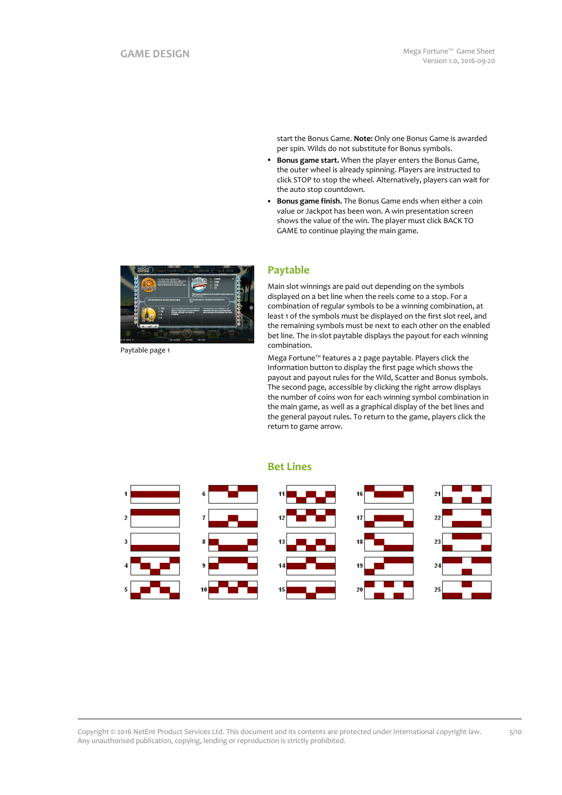start the Bonus Game. **Note:** Only one Bonus Game is awarded per spin. Wilds do not substitute for Bonus symbols.

- **Bonus game start.** When the player enters the Bonus Game, the outer wheel is already spinning. Players are instructed to click STOP to stop the wheel. Alternatively, players can wait for the auto stop countdown.
- **Bonus game finish.** The Bonus Game ends when either a coin value or Jackpot has been won. A win presentation screen shows the value of the win. The player must click BACK TO GAME to continue playing the main game.



Paytable page 1

## **Paytable**

Main slot winnings are paid out depending on the symbols displayed on a bet line when the reels come to a stop. For a combination of regular symbols to be a winning combination, at least 1 of the symbols must be displayed on the first slot reel, and the remaining symbols must be next to each other on the enabled bet line. The in-slot paytable displays the payout for each winning combination.

Mega Fortune™ features a 2 page paytable. Players click the Information button to display the first page which shows the payout and payout rules for the Wild, Scatter and Bonus symbols. The second page, accessible by clicking the right arrow displays the number of coins won for each winning symbol combination in the main game, as well as a graphical display of the bet lines and the general payout rules. To return to the game, players click the return to game arrow.



#### **Bet Lines**

Copyright © 2016 NetEnt Product Services Ltd. This document and its contents are protected under International copyright law. Any unauthorised publication, copying, lending or reproduction is strictly prohibited.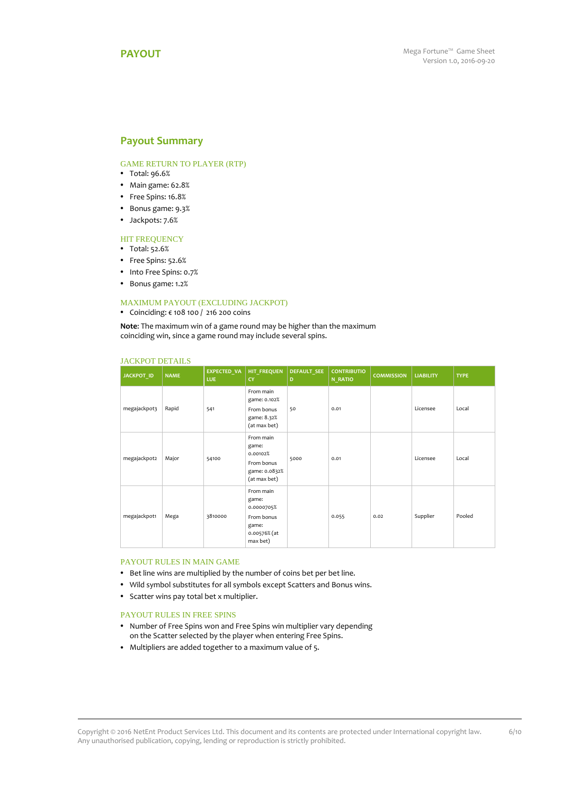### <span id="page-5-0"></span>**Payout Summary**

#### GAME RETURN TO PLAYER (RTP)

- Total: 96.6%
- Main game: 62.8%
- Free Spins: 16.8%
- Bonus game: 9.3%
- Jackpots: 7.6%

#### **HIT FREQUENCY**

- Total: 52.6%
- Free Spins: 52.6%
- Into Free Spins: 0.7%
- Bonus game: 1.2%

#### MAXIMUM PAYOUT (EXCLUDING JACKPOT)

#### Coinciding: € 108 100 / 216 200 coins

**Note**: The maximum win of a game round may be higher than the maximum coinciding win, since a game round may include several spins.

| <b>JACKPOT ID</b> | <b>NAME</b> | <b>EXPECTED VA</b><br>LUE. | <b>HIT FREQUEN</b><br>CY                                                            | <b>DEFAULT SEE</b><br>D | <b>CONTRIBUTIO</b><br>N_RATIO | <b>COMMISSION</b> | <b>LIABILITY</b> | <b>TYPE</b> |
|-------------------|-------------|----------------------------|-------------------------------------------------------------------------------------|-------------------------|-------------------------------|-------------------|------------------|-------------|
| megajackpot3      | Rapid       | 541                        | From main<br>game: 0.102%<br>From bonus<br>game: 8.32%<br>(at max bet)              | 50                      | 0.01                          |                   | Licensee         | Local       |
| megajackpot2      | Major       | 54100                      | From main<br>game:<br>0.00102%<br>From bonus<br>game: 0.0832%<br>(at max bet)       | 5000                    | 0.01                          |                   | Licensee         | Local       |
| megajackpot1      | Mega        | 3810000                    | From main<br>game:<br>0.0000705%<br>From bonus<br>game:<br>0.00576% (at<br>max bet) |                         | 0.055                         | 0.02              | Supplier         | Pooled      |

#### JACKPOT DETAILS

#### PAYOUT RULES IN MAIN GAME

- Bet line wins are multiplied by the number of coins bet per bet line.
- Wild symbol substitutes for all symbols except Scatters and Bonus wins.
- Scatter wins pay total bet x multiplier.

#### PAYOUT RULES IN FREE SPINS

- Number of Free Spins won and Free Spins win multiplier vary depending on the Scatter selected by the player when entering Free Spins.
- Multipliers are added together to a maximum value of 5.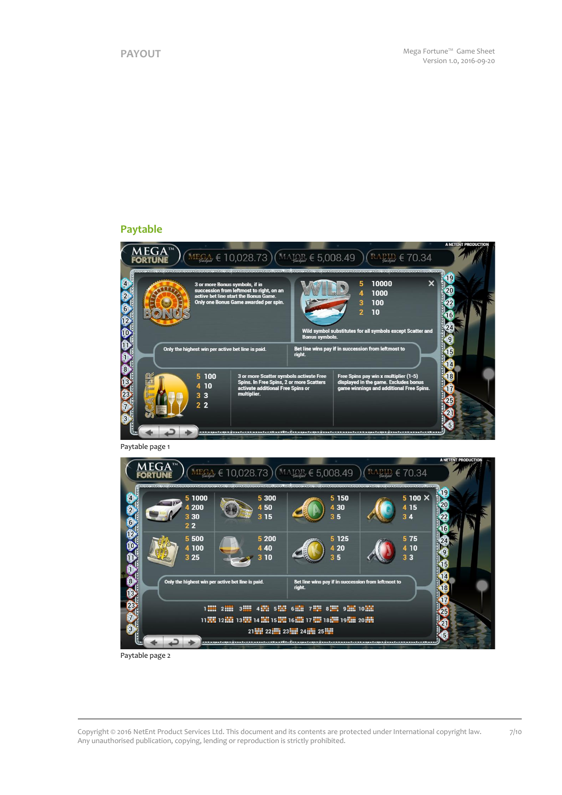## **Paytable**





Paytable page 2

Copyright © 2016 NetEnt Product Services Ltd. This document and its contents are protected under International copyright law. Any unauthorised publication, copying, lending or reproduction is strictly prohibited. 7/10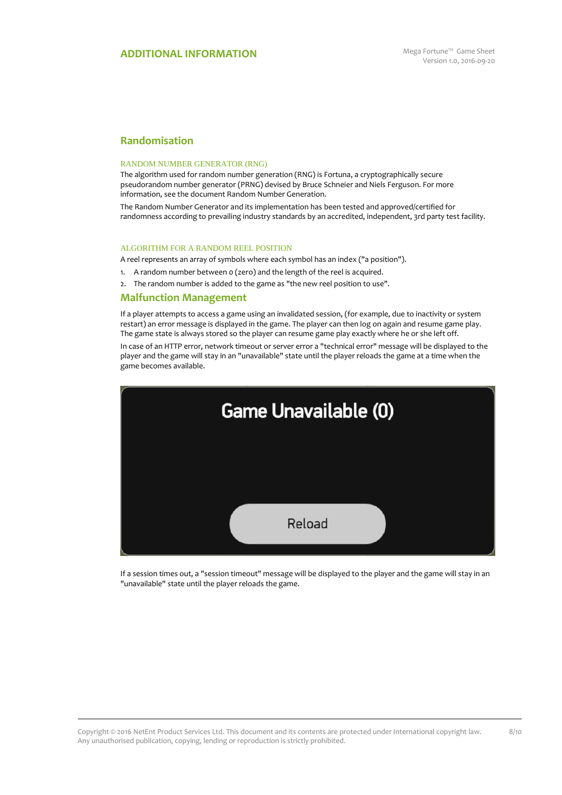## **Randomisation**

#### RANDOM NUMBER GENERATOR (RNG)

The algorithm used for random number generation (RNG) is Fortuna, a cryptographically secure pseudorandom number generator (PRNG) devised by Bruce Schneier and Niels Ferguson. For more information, see the document Random Number Generation.

The Random Number Generator and its implementation has been tested and approved/certified for randomness according to prevailing industry standards by an accredited, independent, 3rd party test facility.

#### ALGORITHM FOR A RANDOM REEL POSITION

A reel represents an array of symbols where each symbol has an index ("a position").

- 1. A random number between 0 (zero) and the length of the reel is acquired.
- 2. The random number is added to the game as "the new reel position to use".

#### **Malfunction Management**

If a player attempts to access a game using an invalidated session, (for example, due to inactivity or system restart) an error message is displayed in the game. The player can then log on again and resume game play. The game state is always stored so the player can resume game play exactly where he or she left off.

In case of an HTTP error, network timeout or server error a "technical error" message will be displayed to the player and the game will stay in an "unavailable" state until the player reloads the game at a time when the game becomes available.



If a session times out, a "session timeout" message will be displayed to the player and the game will stay in an "unavailable" state until the player reloads the game.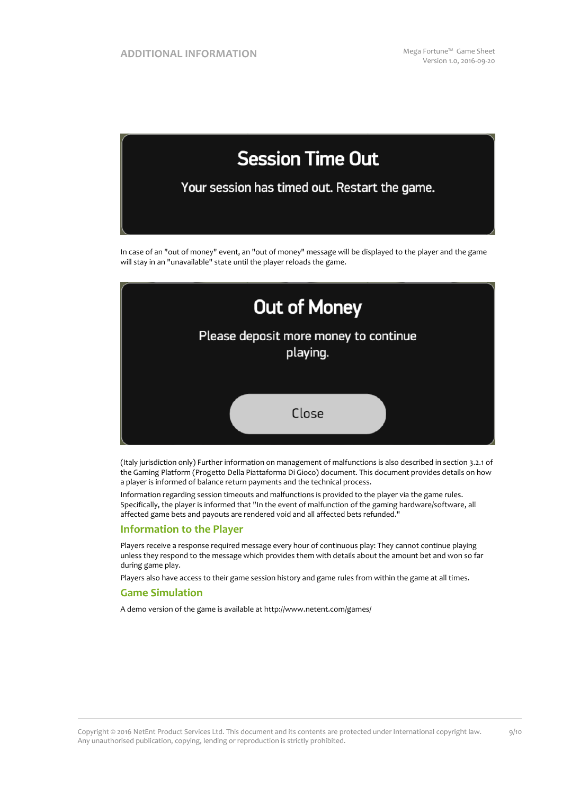

In case of an "out of money" event, an "out of money" message will be displayed to the player and the game will stay in an "unavailable" state until the player reloads the game.



(Italy jurisdiction only) Further information on management of malfunctions is also described in section 3.2.1 of the Gaming Platform (Progetto Della Piattaforma Di Gioco) document. This document provides details on how a player is informed of balance return payments and the technical process.

Information regarding session timeouts and malfunctions is provided to the player via the game rules. Specifically, the player is informed that "In the event of malfunction of the gaming hardware/software, all affected game bets and payouts are rendered void and all affected bets refunded."

#### **Information to the Player**

Players receive a response required message every hour of continuous play: They cannot continue playing unless they respond to the message which provides them with details about the amount bet and won so far during game play.

Players also have access to their game session history and game rules from within the game at all times.

#### **Game Simulation**

A demo version of the game is available at http://www.netent.com/games/